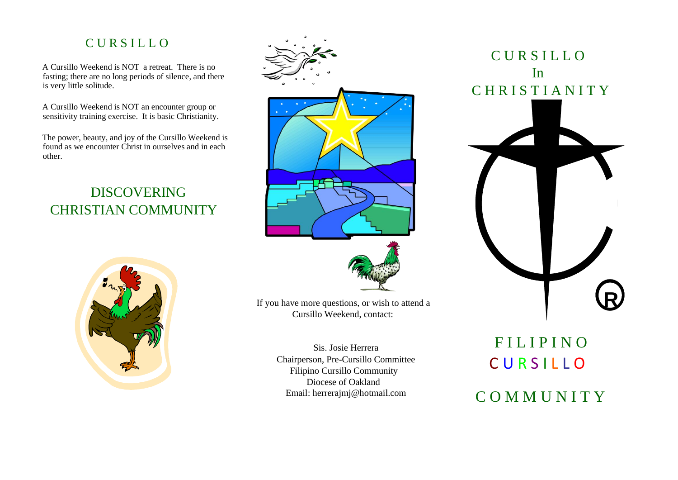# C U R S I L L O

A Cursillo Weekend is NOT a retreat. There is no fasting; there are no long periods of silence, and there is very little solitude.

A Cursillo Weekend is NOT an encounter group or sensitivity training exercise. It is basic Christianity.

The power, beauty, and joy of the Cursillo Weekend is found as we encounter Christ in ourselves and in each other.

# DISCOVERING CHRISTIAN COMMUNITY







If you have more questions, or wish to attend a Cursillo Weekend, contact:

> Sis. Josie Herrera Chairperson, Pre-Cursillo Committee Filipino Cursillo Community Diocese of Oakland Email: herrerajmj@hotmail.com



# **FILIPINO** C U R S I L L O C O M M U N I T Y